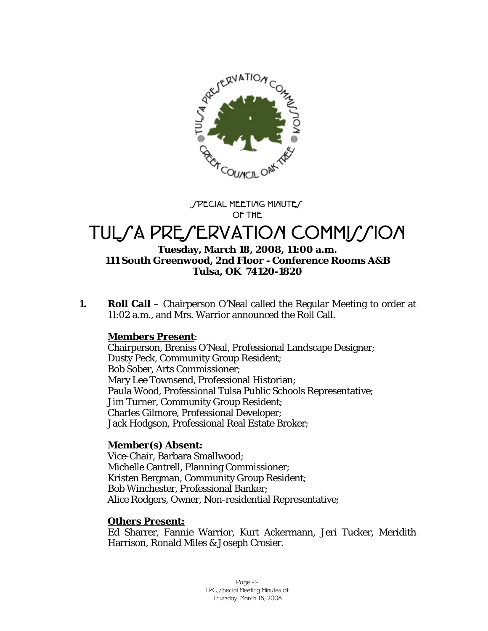

SPECIAL MEETING MINUTE **OF THE** 

# TULSA PRESERVATION COMMISSION

#### **Tuesday, March 18, 2008, 11:00 a.m. 111 South Greenwood, 2nd Floor - Conference Rooms A&B Tulsa, OK 74120-1820**

**1. Roll Call** – Chairperson O'Neal called the Regular Meeting to order at 11:02 a.m., and Mrs. Warrior announced the Roll Call.

#### **Members Present**:

Chairperson, Breniss O'Neal, Professional Landscape Designer; Dusty Peck, Community Group Resident; Bob Sober, Arts Commissioner; Mary Lee Townsend, Professional Historian; Paula Wood, Professional Tulsa Public Schools Representative; Jim Turner, Community Group Resident; Charles Gilmore, Professional Developer; Jack Hodgson, Professional Real Estate Broker;

# **Member(s) Absent:**

Vice-Chair, Barbara Smallwood; Michelle Cantrell, Planning Commissioner; Kristen Bergman, Community Group Resident; Bob Winchester, Professional Banker; Alice Rodgers, Owner, Non-residential Representative;

#### **Others Present:**

Ed Sharrer, Fannie Warrior, Kurt Ackermann, Jeri Tucker, Meridith Harrison, Ronald Miles & Joseph Crosier.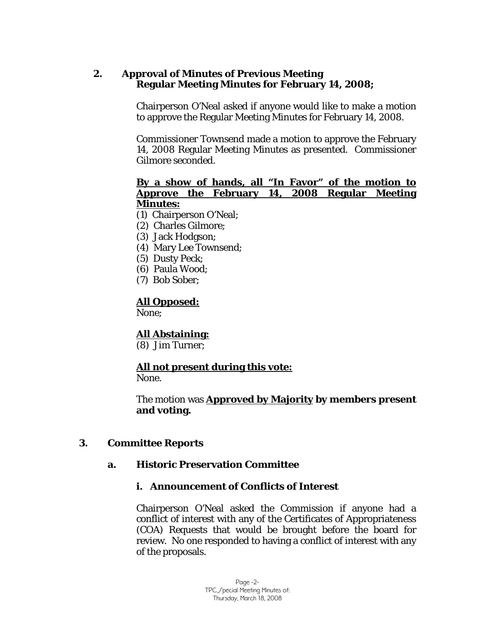## **2. Approval of Minutes of Previous Meeting Regular Meeting Minutes for February 14, 2008;**

Chairperson O'Neal asked if anyone would like to make a motion to approve the Regular Meeting Minutes for February 14, 2008.

Commissioner Townsend made a motion to approve the February 14, 2008 Regular Meeting Minutes as presented. Commissioner Gilmore seconded.

#### **By a show of hands, all "In Favor" of the motion to Approve the February 14, 2008 Regular Meeting Minutes:**

- (1) Chairperson O'Neal;
- (2) Charles Gilmore;
- (3) Jack Hodgson;
- (4) Mary Lee Townsend;
- (5) Dusty Peck;
- (6) Paula Wood;
- (7) Bob Sober;

# **All Opposed:**

None;

#### **All Abstaining:**

(8) Jim Turner;

# **All not present during this vote:**

None.

The motion was **Approved by Majority by members present and voting.** 

#### **3. Committee Reports**

#### **a. Historic Preservation Committee**

#### **i. Announcement of Conflicts of Interest**

Chairperson O'Neal asked the Commission if anyone had a conflict of interest with any of the Certificates of Appropriateness (COA) Requests that would be brought before the board for review. No one responded to having a conflict of interest with any of the proposals.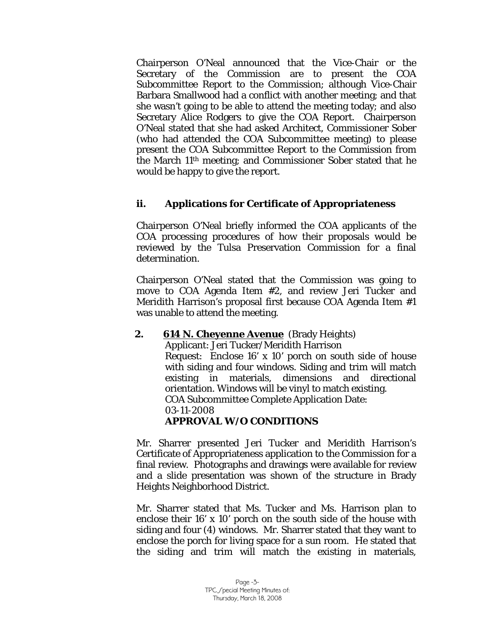Chairperson O'Neal announced that the Vice-Chair or the Secretary of the Commission are to present the COA Subcommittee Report to the Commission; although Vice-Chair Barbara Smallwood had a conflict with another meeting; and that she wasn't going to be able to attend the meeting today; and also Secretary Alice Rodgers to give the COA Report. Chairperson O'Neal stated that she had asked Architect, Commissioner Sober (who had attended the COA Subcommittee meeting) to please present the COA Subcommittee Report to the Commission from the March 11th meeting; and Commissioner Sober stated that he would be happy to give the report.

#### **ii. Applications for Certificate of Appropriateness**

Chairperson O'Neal briefly informed the COA applicants of the COA processing procedures of how their proposals would be reviewed by the Tulsa Preservation Commission for a final determination.

Chairperson O'Neal stated that the Commission was going to move to COA Agenda Item #2, and review Jeri Tucker and Meridith Harrison's proposal first because COA Agenda Item #1 was unable to attend the meeting.

#### **2.** 614 N. Cheyenne Avenue (Brady Heights)

Applicant: Jeri Tucker/Meridith Harrison Request: Enclose 16' x 10' porch on south side of house with siding and four windows. Siding and trim will match existing in materials, dimensions and directional orientation. Windows will be vinyl to match existing. COA Subcommittee Complete Application Date: 03-11-2008 **APPROVAL W/O CONDITIONS** 

Mr. Sharrer presented Jeri Tucker and Meridith Harrison's Certificate of Appropriateness application to the Commission for a final review. Photographs and drawings were available for review and a slide presentation was shown of the structure in Brady Heights Neighborhood District.

Mr. Sharrer stated that Ms. Tucker and Ms. Harrison plan to enclose their 16' x 10' porch on the south side of the house with siding and four (4) windows. Mr. Sharrer stated that they want to enclose the porch for living space for a sun room. He stated that the siding and trim will match the existing in materials,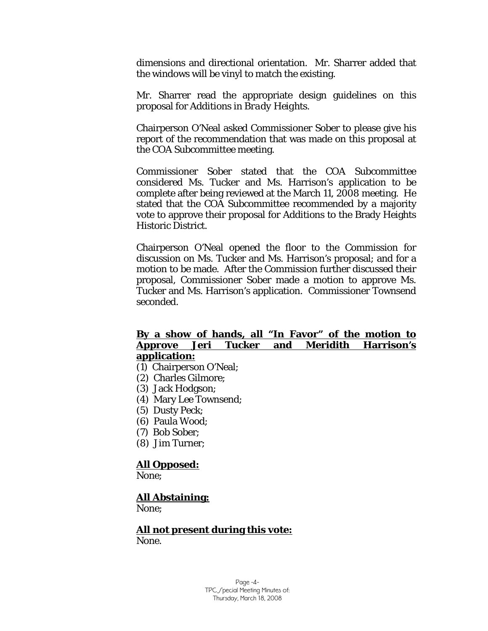dimensions and directional orientation. Mr. Sharrer added that the windows will be vinyl to match the existing.

Mr. Sharrer read the appropriate design guidelines on this proposal for *Additions in Brady Heights.* 

Chairperson O'Neal asked Commissioner Sober to please give his report of the recommendation that was made on this proposal at the COA Subcommittee meeting.

Commissioner Sober stated that the COA Subcommittee considered Ms. Tucker and Ms. Harrison's application to be complete after being reviewed at the March 11, 2008 meeting. He stated that the COA Subcommittee recommended by a majority vote to approve their proposal for *Additions to* the Brady Heights Historic District.

Chairperson O'Neal opened the floor to the Commission for discussion on Ms. Tucker and Ms. Harrison's proposal; and for a motion to be made. After the Commission further discussed their proposal, Commissioner Sober made a motion to approve Ms. Tucker and Ms. Harrison's application. Commissioner Townsend seconded.

#### **By a show of hands, all "In Favor" of the motion to Approve Jeri Tucker and Meridith Harrison's application:**

- (1) Chairperson O'Neal;
- (2) Charles Gilmore;
- (3) Jack Hodgson;
- (4) Mary Lee Townsend;
- (5) Dusty Peck;
- (6) Paula Wood;
- (7) Bob Sober;
- (8) Jim Turner;

#### **All Opposed:**

None;

#### **All Abstaining:**

None;

 **All not present during this vote:** None.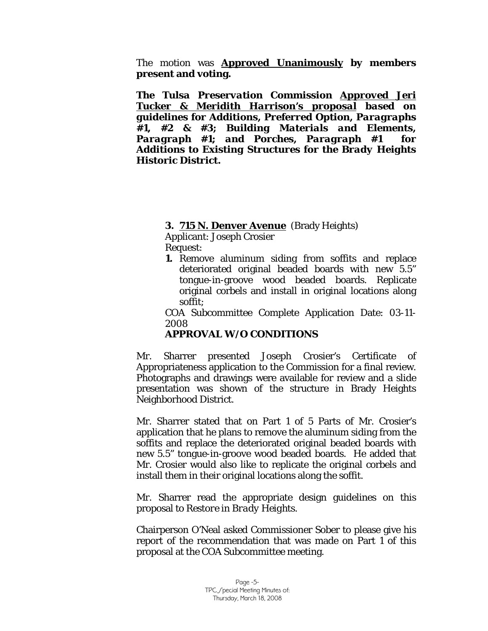The motion was **Approved Unanimously by members present and voting.** 

*The Tulsa Preservation Commission Approved Jeri Tucker & Meridith Harrison's proposal based on guidelines for Additions, Preferred Option, Paragraphs #1, #2 & #3; Building Materials and Elements, Paragraph #1; and Porches, Paragraph #1 for Additions to Existing Structures for the Brady Heights Historic District.* 

#### **3. 715 N. Denver Avenue** (Brady Heights)

Applicant: Joseph Crosier Request:

**1.** Remove aluminum siding from soffits and replace deteriorated original beaded boards with new 5.5" tongue-in-groove wood beaded boards. Replicate original corbels and install in original locations along soffit;

COA Subcommittee Complete Application Date: 03-11- 2008

# **APPROVAL W/O CONDITIONS**

Mr. Sharrer presented Joseph Crosier's Certificate of Appropriateness application to the Commission for a final review. Photographs and drawings were available for review and a slide presentation was shown of the structure in Brady Heights Neighborhood District.

Mr. Sharrer stated that on Part 1 of 5 Parts of Mr. Crosier's application that he plans to remove the aluminum siding from the soffits and replace the deteriorated original beaded boards with new 5.5" tongue-in-groove wood beaded boards. He added that Mr. Crosier would also like to replicate the original corbels and install them in their original locations along the soffit.

Mr. Sharrer read the appropriate design guidelines on this proposal to *Restore in Brady Heights.* 

Chairperson O'Neal asked Commissioner Sober to please give his report of the recommendation that was made on Part 1 of this proposal at the COA Subcommittee meeting.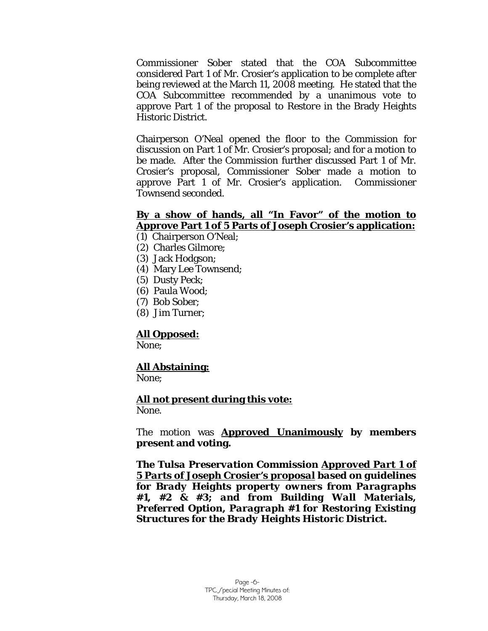Commissioner Sober stated that the COA Subcommittee considered Part 1 of Mr. Crosier's application to be complete after being reviewed at the March 11, 2008 meeting. He stated that the COA Subcommittee recommended by a unanimous vote to approve Part 1 of the proposal to *Restore* in the Brady Heights Historic District.

Chairperson O'Neal opened the floor to the Commission for discussion on Part 1 of Mr. Crosier's proposal; and for a motion to be made. After the Commission further discussed Part 1 of Mr. Crosier's proposal, Commissioner Sober made a motion to approve Part 1 of Mr. Crosier's application. Commissioner Townsend seconded.

#### **By a show of hands, all "In Favor" of the motion to Approve Part 1 of 5 Parts of Joseph Crosier's application:**

- (1) Chairperson O'Neal;
- (2) Charles Gilmore;
- (3) Jack Hodgson;
- (4) Mary Lee Townsend;
- (5) Dusty Peck;
- (6) Paula Wood;
- (7) Bob Sober;
- (8) Jim Turner;

#### **All Opposed:**

None;

#### **All Abstaining:**

None;

#### **All not present during this vote:**

None.

The motion was **Approved Unanimously by members present and voting.** 

*The Tulsa Preservation Commission Approved Part 1 of 5 Parts of Joseph Crosier's proposal based on guidelines for Brady Heights property owners from Paragraphs #1, #2 & #3; and from Building Wall Materials, Preferred Option, Paragraph #1 for Restoring Existing Structures for the Brady Heights Historic District.*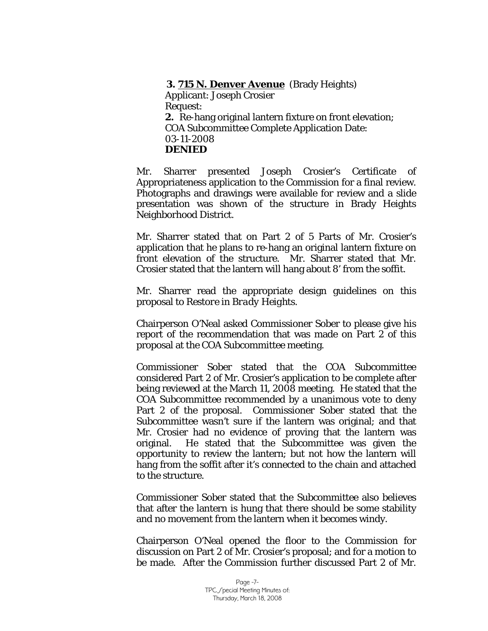#### **3. 715 N. Denver Avenue** (Brady Heights)

Applicant: Joseph Crosier Request: **2.** Re-hang original lantern fixture on front elevation; COA Subcommittee Complete Application Date: 03-11-2008 **DENIED** 

Mr. Sharrer presented Joseph Crosier's Certificate of Appropriateness application to the Commission for a final review. Photographs and drawings were available for review and a slide presentation was shown of the structure in Brady Heights Neighborhood District.

Mr. Sharrer stated that on Part 2 of 5 Parts of Mr. Crosier's application that he plans to re-hang an original lantern fixture on front elevation of the structure. Mr. Sharrer stated that Mr. Crosier stated that the lantern will hang about 8' from the soffit.

Mr. Sharrer read the appropriate design guidelines on this proposal to *Restore in Brady Heights.* 

Chairperson O'Neal asked Commissioner Sober to please give his report of the recommendation that was made on Part 2 of this proposal at the COA Subcommittee meeting.

Commissioner Sober stated that the COA Subcommittee considered Part 2 of Mr. Crosier's application to be complete after being reviewed at the March 11, 2008 meeting. He stated that the COA Subcommittee recommended by a unanimous vote to deny Part 2 of the proposal. Commissioner Sober stated that the Subcommittee wasn't sure if the lantern was original; and that Mr. Crosier had no evidence of proving that the lantern was original. He stated that the Subcommittee was given the opportunity to review the lantern; but not how the lantern will hang from the soffit after it's connected to the chain and attached to the structure.

Commissioner Sober stated that the Subcommittee also believes that after the lantern is hung that there should be some stability and no movement from the lantern when it becomes windy.

Chairperson O'Neal opened the floor to the Commission for discussion on Part 2 of Mr. Crosier's proposal; and for a motion to be made. After the Commission further discussed Part 2 of Mr.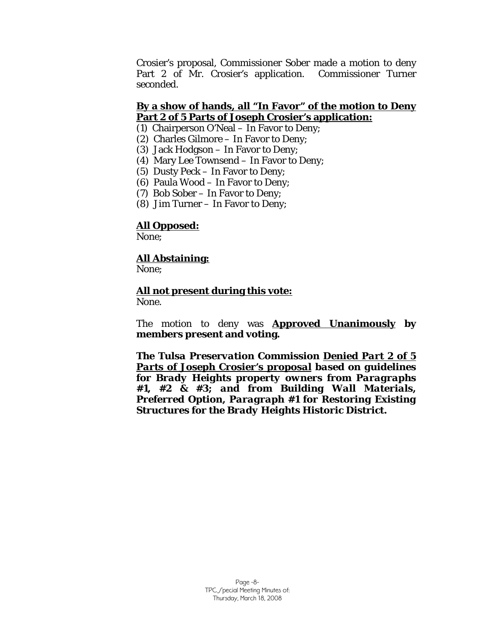Crosier's proposal, Commissioner Sober made a motion to deny Part 2 of Mr. Crosier's application. Commissioner Turner seconded.

# **By a show of hands, all "In Favor" of the motion to Deny Part 2 of 5 Parts of Joseph Crosier's application:**

- (1) Chairperson O'Neal In Favor to Deny;
- (2) Charles Gilmore In Favor to Deny;
- (3) Jack Hodgson In Favor to Deny;
- (4) Mary Lee Townsend In Favor to Deny;
- (5) Dusty Peck In Favor to Deny;
- (6) Paula Wood In Favor to Deny;
- (7) Bob Sober In Favor to Deny;
- (8) Jim Turner In Favor to Deny;

# **All Opposed:**

None;

#### **All Abstaining:**

None:

#### **All not present during this vote:**

None.

The motion to deny was **Approved Unanimously by members present and voting.** 

*The Tulsa Preservation Commission Denied Part 2 of 5 Parts of Joseph Crosier's proposal based on guidelines for Brady Heights property owners from Paragraphs #1, #2 & #3; and from Building Wall Materials, Preferred Option, Paragraph #1 for Restoring Existing Structures for the Brady Heights Historic District.*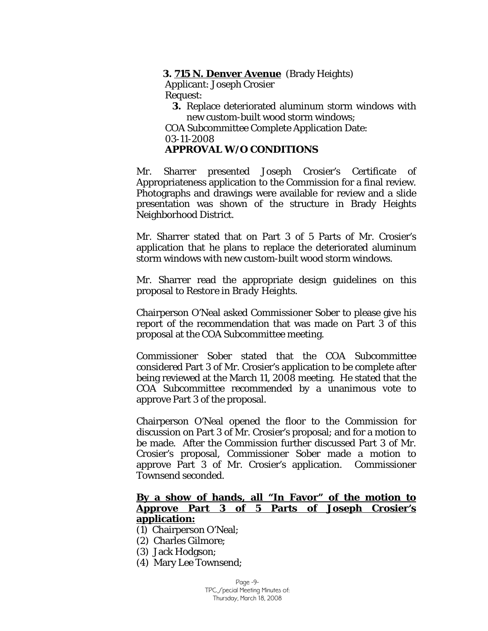#### **3. 715 N. Denver Avenue** (Brady Heights)

Applicant: Joseph Crosier Request:

- **3.** Replace deteriorated aluminum storm windows with new custom-built wood storm windows;
- COA Subcommittee Complete Application Date: 03-11-2008

## **APPROVAL W/O CONDITIONS**

Mr. Sharrer presented Joseph Crosier's Certificate of Appropriateness application to the Commission for a final review. Photographs and drawings were available for review and a slide presentation was shown of the structure in Brady Heights Neighborhood District.

Mr. Sharrer stated that on Part 3 of 5 Parts of Mr. Crosier's application that he plans to replace the deteriorated aluminum storm windows with new custom-built wood storm windows.

Mr. Sharrer read the appropriate design guidelines on this proposal to *Restore in Brady Heights.* 

Chairperson O'Neal asked Commissioner Sober to please give his report of the recommendation that was made on Part 3 of this proposal at the COA Subcommittee meeting.

Commissioner Sober stated that the COA Subcommittee considered Part 3 of Mr. Crosier's application to be complete after being reviewed at the March 11, 2008 meeting. He stated that the COA Subcommittee recommended by a unanimous vote to approve Part 3 of the proposal.

Chairperson O'Neal opened the floor to the Commission for discussion on Part 3 of Mr. Crosier's proposal; and for a motion to be made. After the Commission further discussed Part 3 of Mr. Crosier's proposal, Commissioner Sober made a motion to approve Part 3 of Mr. Crosier's application. Commissioner Townsend seconded.

#### **By a show of hands, all "In Favor" of the motion to Approve Part 3 of 5 Parts of Joseph Crosier's application:**

- (1) Chairperson O'Neal;
- (2) Charles Gilmore;
- (3) Jack Hodgson;
- (4) Mary Lee Townsend;

Page -9- TPC Special Meeting Minutes of: Thursday, March 18, 2008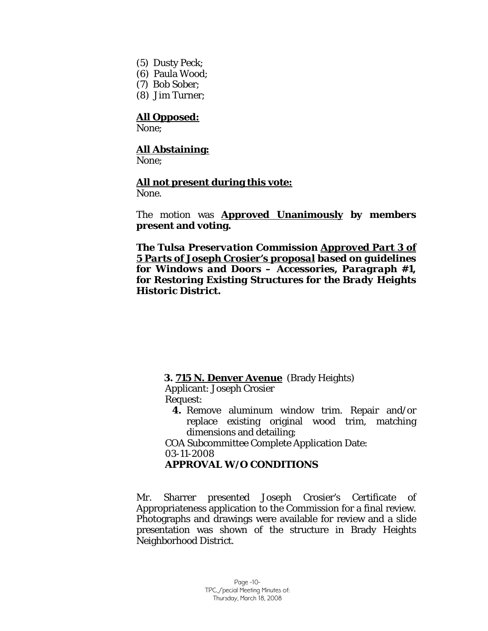- (5) Dusty Peck;
- (6) Paula Wood;
- (7) Bob Sober;
- (8) Jim Turner;

# **All Opposed:**

None;

## **All Abstaining:**

None:

#### **All not present during this vote:**

None.

The motion was **Approved Unanimously by members present and voting.** 

*The Tulsa Preservation Commission Approved Part 3 of 5 Parts of Joseph Crosier's proposal based on guidelines for Windows and Doors – Accessories, Paragraph #1, for Restoring Existing Structures for the Brady Heights Historic District.* 

#### **3. 715 N. Denver Avenue** (Brady Heights)

Applicant: Joseph Crosier Request:

**4.** Remove aluminum window trim. Repair and/or replace existing original wood trim, matching dimensions and detailing;

COA Subcommittee Complete Application Date: 03-11-2008

#### **APPROVAL W/O CONDITIONS**

Mr. Sharrer presented Joseph Crosier's Certificate of Appropriateness application to the Commission for a final review. Photographs and drawings were available for review and a slide presentation was shown of the structure in Brady Heights Neighborhood District.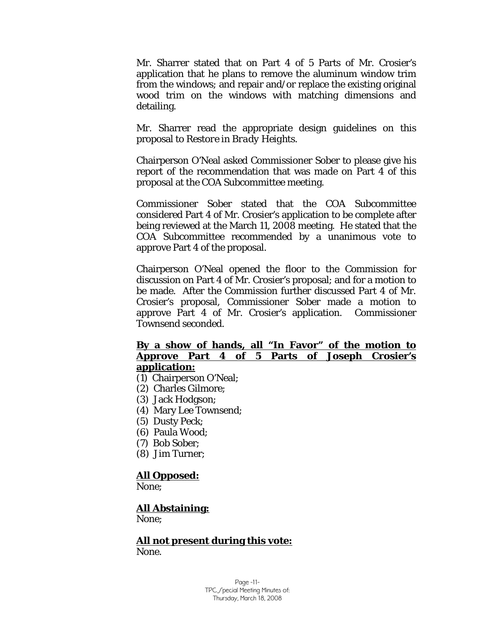Mr. Sharrer stated that on Part 4 of 5 Parts of Mr. Crosier's application that he plans to remove the aluminum window trim from the windows; and repair and/or replace the existing original wood trim on the windows with matching dimensions and detailing.

Mr. Sharrer read the appropriate design guidelines on this proposal to *Restore in Brady Heights.* 

Chairperson O'Neal asked Commissioner Sober to please give his report of the recommendation that was made on Part 4 of this proposal at the COA Subcommittee meeting.

Commissioner Sober stated that the COA Subcommittee considered Part 4 of Mr. Crosier's application to be complete after being reviewed at the March 11, 2008 meeting. He stated that the COA Subcommittee recommended by a unanimous vote to approve Part 4 of the proposal.

Chairperson O'Neal opened the floor to the Commission for discussion on Part 4 of Mr. Crosier's proposal; and for a motion to be made. After the Commission further discussed Part 4 of Mr. Crosier's proposal, Commissioner Sober made a motion to approve Part 4 of Mr. Crosier's application. Commissioner Townsend seconded.

#### **By a show of hands, all "In Favor" of the motion to Approve Part 4 of 5 Parts of Joseph Crosier's application:**

- (1) Chairperson O'Neal;
- (2) Charles Gilmore;
- (3) Jack Hodgson;
- (4) Mary Lee Townsend;
- (5) Dusty Peck;
- (6) Paula Wood;
- (7) Bob Sober;
- (8) Jim Turner;

#### **All Opposed:**

None;

#### **All Abstaining:**

None;

#### **All not present during this vote:** None.

Page -11- TPC Special Meeting Minutes of: Thursday, March 18, 2008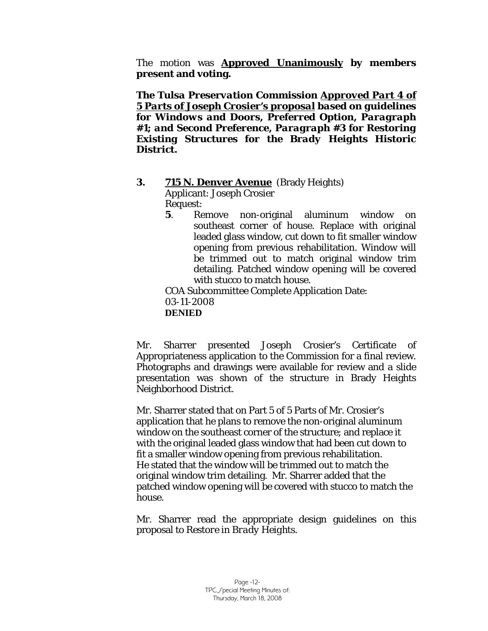The motion was **Approved Unanimously by members present and voting.** 

*The Tulsa Preservation Commission Approved Part 4 of 5 Parts of Joseph Crosier's proposal based on guidelines for Windows and Doors, Preferred Option, Paragraph #1; and Second Preference, Paragraph #3 for Restoring Existing Structures for the Brady Heights Historic District.* 

#### **3. 715 N. Denver Avenue** (Brady Heights)

Applicant: Joseph Crosier Request:

**5**. Remove non-original aluminum window on southeast corner of house. Replace with original leaded glass window, cut down to fit smaller window opening from previous rehabilitation. Window will be trimmed out to match original window trim detailing. Patched window opening will be covered with stucco to match house.

COA Subcommittee Complete Application Date: 03-11-2008  **DENIED** 

Mr. Sharrer presented Joseph Crosier's Certificate of Appropriateness application to the Commission for a final review. Photographs and drawings were available for review and a slide presentation was shown of the structure in Brady Heights Neighborhood District.

Mr. Sharrer stated that on Part 5 of 5 Parts of Mr. Crosier's application that he plans to remove the non-original aluminum window on the southeast corner of the structure; and replace it with the original leaded glass window that had been cut down to fit a smaller window opening from previous rehabilitation. He stated that the window will be trimmed out to match the original window trim detailing. Mr. Sharrer added that the patched window opening will be covered with stucco to match the house.

Mr. Sharrer read the appropriate design guidelines on this proposal to *Restore in Brady Heights.*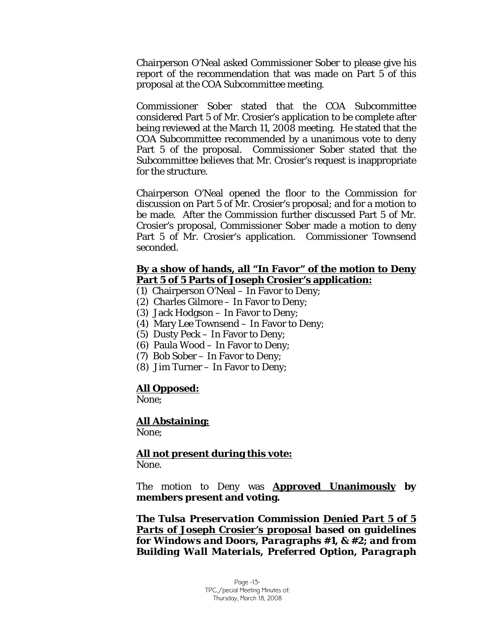Chairperson O'Neal asked Commissioner Sober to please give his report of the recommendation that was made on Part 5 of this proposal at the COA Subcommittee meeting.

Commissioner Sober stated that the COA Subcommittee considered Part 5 of Mr. Crosier's application to be complete after being reviewed at the March 11, 2008 meeting. He stated that the COA Subcommittee recommended by a unanimous vote to deny Part 5 of the proposal. Commissioner Sober stated that the Subcommittee believes that Mr. Crosier's request is inappropriate for the structure.

Chairperson O'Neal opened the floor to the Commission for discussion on Part 5 of Mr. Crosier's proposal; and for a motion to be made. After the Commission further discussed Part 5 of Mr. Crosier's proposal, Commissioner Sober made a motion to deny Part 5 of Mr. Crosier's application. Commissioner Townsend seconded.

#### **By a show of hands, all "In Favor" of the motion to Deny Part 5 of 5 Parts of Joseph Crosier's application:**

- (1) Chairperson O'Neal In Favor to Deny;
- (2) Charles Gilmore In Favor to Deny;
- (3) Jack Hodgson In Favor to Deny;
- (4) Mary Lee Townsend In Favor to Deny;
- (5) Dusty Peck In Favor to Deny;
- (6) Paula Wood In Favor to Deny;
- (7) Bob Sober In Favor to Deny;
- (8) Jim Turner In Favor to Deny;

#### **All Opposed:**

None;

#### **All Abstaining:** None;

 **All not present during this vote:** None.

The motion to Deny was **Approved Unanimously by members present and voting.** 

*The Tulsa Preservation Commission Denied Part 5 of 5 Parts of Joseph Crosier's proposal based on guidelines for Windows and Doors, Paragraphs #1, & #2; and from Building Wall Materials, Preferred Option, Paragraph*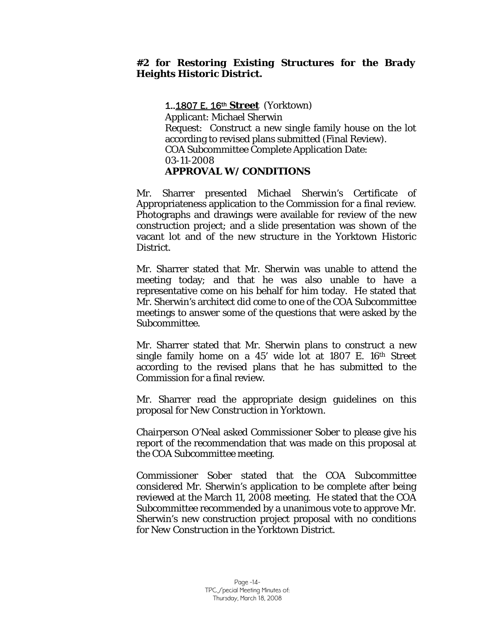#### *#2 for Restoring Existing Structures for the Brady Heights Historic District.*

#### 1..1807 E. 16th **Street** (Yorktown)

Applicant: Michael Sherwin Request: Construct a new single family house on the lot according to revised plans submitted (Final Review). COA Subcommittee Complete Application Date: 03-11-2008 **APPROVAL W/ CONDITIONS** 

Mr. Sharrer presented Michael Sherwin's Certificate of Appropriateness application to the Commission for a final review. Photographs and drawings were available for review of the new construction project; and a slide presentation was shown of the vacant lot and of the new structure in the Yorktown Historic District.

Mr. Sharrer stated that Mr. Sherwin was unable to attend the meeting today; and that he was also unable to have a representative come on his behalf for him today. He stated that Mr. Sherwin's architect did come to one of the COA Subcommittee meetings to answer some of the questions that were asked by the Subcommittee.

Mr. Sharrer stated that Mr. Sherwin plans to construct a new single family home on a  $45'$  wide lot at  $1807$  E.  $16<sup>th</sup>$  Street according to the revised plans that he has submitted to the Commission for a final review.

Mr. Sharrer read the appropriate design guidelines on this proposal for *New Construction in Yorktown.* 

Chairperson O'Neal asked Commissioner Sober to please give his report of the recommendation that was made on this proposal at the COA Subcommittee meeting.

Commissioner Sober stated that the COA Subcommittee considered Mr. Sherwin's application to be complete after being reviewed at the March 11, 2008 meeting. He stated that the COA Subcommittee recommended by a unanimous vote to approve Mr. Sherwin's new construction project proposal with no conditions for *New Construction* in the Yorktown District.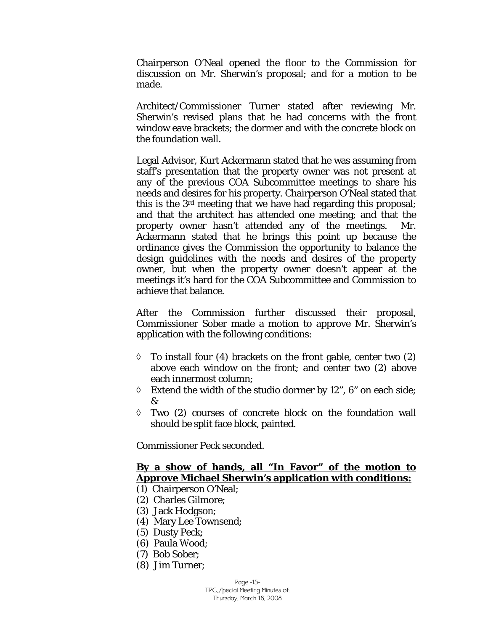Chairperson O'Neal opened the floor to the Commission for discussion on Mr. Sherwin's proposal; and for a motion to be made.

Architect/Commissioner Turner stated after reviewing Mr. Sherwin's revised plans that he had concerns with the front window eave brackets; the dormer and with the concrete block on the foundation wall.

Legal Advisor, Kurt Ackermann stated that he was assuming from staff's presentation that the property owner was not present at any of the previous COA Subcommittee meetings to share his needs and desires for his property. Chairperson O'Neal stated that this is the 3rd meeting that we have had regarding this proposal; and that the architect has attended one meeting; and that the property owner hasn't attended any of the meetings. Mr. Ackermann stated that he brings this point up because the ordinance gives the Commission the opportunity to balance the design guidelines with the needs and desires of the property owner, but when the property owner doesn't appear at the meetings it's hard for the COA Subcommittee and Commission to achieve that balance.

After the Commission further discussed their proposal, Commissioner Sober made a motion to approve Mr. Sherwin's application with the following conditions:

- $\Diamond$  To install four (4) brackets on the front gable, center two (2) above each window on the front; and center two (2) above each innermost column;
- $\Diamond$  Extend the width of the studio dormer by 12", 6" on each side; &
- ◊ Two (2) courses of concrete block on the foundation wall should be split face block, painted.

Commissioner Peck seconded.

#### **By a show of hands, all "In Favor" of the motion to Approve Michael Sherwin's application with conditions:**

- (1) Chairperson O'Neal;
- (2) Charles Gilmore;
- (3) Jack Hodgson;
- (4) Mary Lee Townsend;
- (5) Dusty Peck;
- (6) Paula Wood;
- (7) Bob Sober;
- (8) Jim Turner;

Page -15- TPC Special Meeting Minutes of: Thursday, March 18, 2008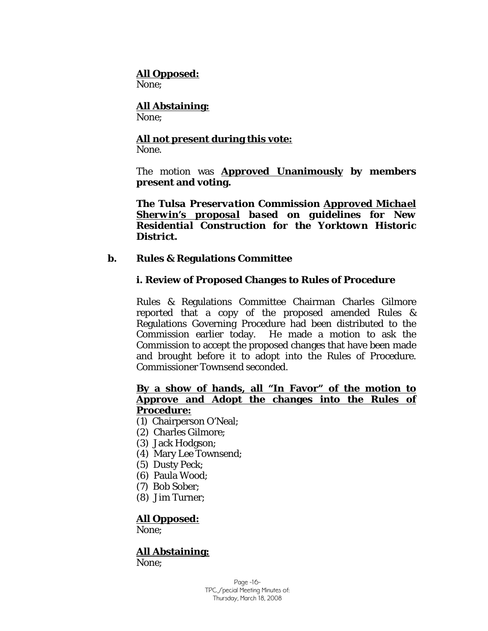#### **All Opposed:**

None;

# **All Abstaining:**

None;

# **All not present during this vote:**

None.

The motion was **Approved Unanimously by members present and voting.** 

*The Tulsa Preservation Commission Approved Michael Sherwin's proposal based on guidelines for New Residential Construction for the Yorktown Historic District.* 

#### **b. Rules & Regulations Committee**

#### **i. Review of Proposed Changes to Rules of Procedure**

Rules & Regulations Committee Chairman Charles Gilmore reported that a copy of the proposed amended Rules & Regulations Governing Procedure had been distributed to the Commission earlier today. He made a motion to ask the Commission to accept the proposed changes that have been made and brought before it to adopt into the Rules of Procedure. Commissioner Townsend seconded.

#### **By a show of hands, all "In Favor" of the motion to Approve and Adopt the changes into the Rules of Procedure:**

- (1) Chairperson O'Neal;
- (2) Charles Gilmore;
- (3) Jack Hodgson;
- (4) Mary Lee Townsend;
- (5) Dusty Peck;
- (6) Paula Wood;
- (7) Bob Sober;
- (8) Jim Turner;

# **All Opposed:**

None;

# **All Abstaining:**

None;

Page -16- TPC Special Meeting Minutes of: Thursday, March 18, 2008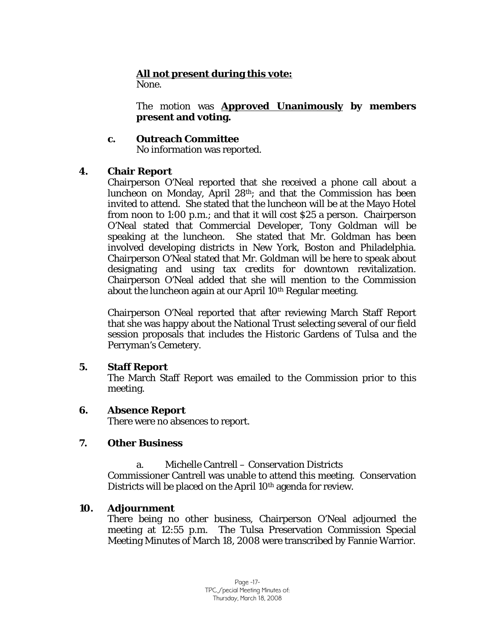# **All not present during this vote:**

None.

The motion was **Approved Unanimously by members present and voting.** 

#### **c. Outreach Committee**

No information was reported.

#### **4. Chair Report**

Chairperson O'Neal reported that she received a phone call about a luncheon on Monday, April 28th; and that the Commission has been invited to attend. She stated that the luncheon will be at the Mayo Hotel from noon to 1:00 p.m.; and that it will cost \$25 a person. Chairperson O'Neal stated that Commercial Developer, Tony Goldman will be speaking at the luncheon. She stated that Mr. Goldman has been involved developing districts in New York, Boston and Philadelphia. Chairperson O'Neal stated that Mr. Goldman will be here to speak about designating and using tax credits for downtown revitalization. Chairperson O'Neal added that she will mention to the Commission about the luncheon again at our April 10<sup>th</sup> Regular meeting.

Chairperson O'Neal reported that after reviewing March Staff Report that she was happy about the National Trust selecting several of our field session proposals that includes the Historic Gardens of Tulsa and the Perryman's Cemetery.

#### **5. Staff Report**

The March Staff Report was emailed to the Commission prior to this meeting.

#### **6. Absence Report**

There were no absences to report.

#### **7. Other Business**

a. Michelle Cantrell – Conservation Districts

Commissioner Cantrell was unable to attend this meeting. Conservation Districts will be placed on the April 10<sup>th</sup> agenda for review.

# **10. Adjournment**

There being no other business, Chairperson O'Neal adjourned the meeting at 12:55 p.m. The Tulsa Preservation Commission Special Meeting Minutes of March 18, 2008 were transcribed by Fannie Warrior.